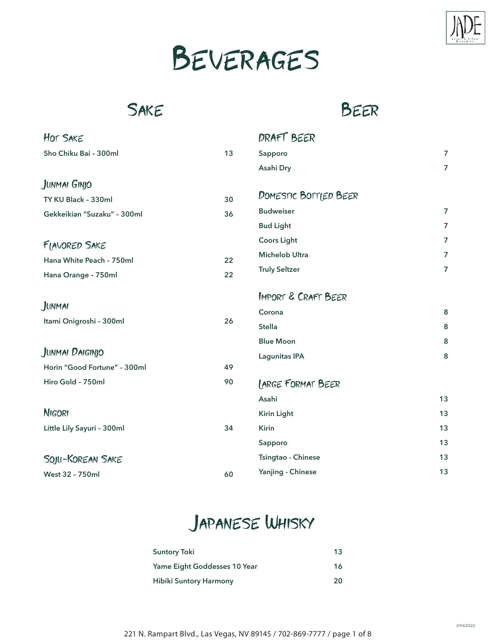

# Beverages

#### **SAKE**

Beer

| <b>HOT SAKE</b>              |    | DRAFT BEER                     |                |
|------------------------------|----|--------------------------------|----------------|
| Sho Chiku Bai - 300ml        | 13 | Sapporo                        | $\overline{7}$ |
|                              |    | Asahi Dry                      | $\overline{7}$ |
| JUNMAI GINJO                 |    |                                |                |
| TY KU Black - 330ml          | 30 | DOMESTIC BOTTLED BEER          |                |
| Gekkeikian "Suzaku" - 300ml  | 36 | <b>Budweiser</b>               | $\overline{7}$ |
|                              |    | <b>Bud Light</b>               | $\overline{7}$ |
| FIAVORED SAKE                |    | <b>Coors Light</b>             | $\overline{7}$ |
| Hana White Peach - 750ml     | 22 | <b>Michelob Ultra</b>          | $\overline{7}$ |
| Hana Orange - 750ml          | 22 | <b>Truly Seltzer</b>           | $\overline{7}$ |
|                              |    | <b>IMPORT &amp; CRAFT BEER</b> |                |
| JUNMAI                       |    | Corona                         | 8              |
| Itami Onigroshi - 300ml      | 26 | <b>Stella</b>                  | 8              |
|                              |    | <b>Blue Moon</b>               | 8              |
| JUNMAI DAIGINJO              |    | <b>Lagunitas IPA</b>           | 8              |
| Horin "Good Fortune" - 300ml | 49 |                                |                |
| Hiro Gold - 750ml            | 90 | <b>LARGE FORMAT BEER</b>       |                |
|                              |    | Asahi                          | 13             |
| <b>NIGORI</b>                |    | <b>Kirin Light</b>             | 13             |
| Little Lily Sayuri - 300ml   | 34 | <b>Kirin</b>                   | 13             |
|                              |    | Sapporo                        | 13             |
| SOJU-KOREAN SAKE             |    | Tsingtao - Chinese             | 13             |
| <b>West 32 - 750ml</b>       | 60 | Yanjing - Chinese              | 13             |
|                              |    |                                |                |

### Japanese Whisky

| <b>Suntory Toki</b>           | 13 |
|-------------------------------|----|
| Yame Eight Goddesses 10 Year  | 16 |
| <b>Hibiki Suntory Harmony</b> | 20 |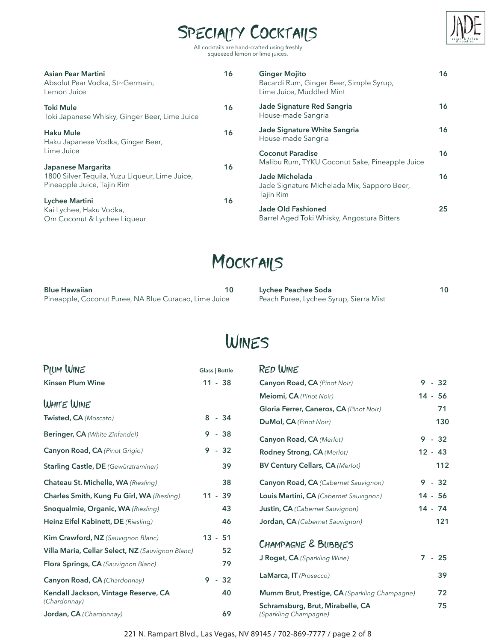### SPECIALTY COCKTAILS



All cocktails are hand-crafted using freshly squeezed lemon or lime juices.

| Asian Pear Martini<br>Absolut Pear Vodka, St~Germain,<br>Lemon Juice                               | 16 | <b>Ginger Mojito</b><br>Bacardi Rum, Ginger Beer, Simple Syrup,<br>Lime Juice, Muddled Mint | 16 |
|----------------------------------------------------------------------------------------------------|----|---------------------------------------------------------------------------------------------|----|
| Toki Mule<br>Toki Japanese Whisky, Ginger Beer, Lime Juice                                         | 16 | Jade Signature Red Sangria<br>House-made Sangria                                            | 16 |
| <b>Haku Mule</b><br>Haku Japanese Vodka, Ginger Beer,                                              | 16 | Jade Signature White Sangria<br>House-made Sangria                                          | 16 |
| Lime Juice.                                                                                        |    | <b>Coconut Paradise</b><br>Malibu Rum, TYKU Coconut Sake, Pineapple Juice                   | 16 |
| Japanese Margarita<br>1800 Silver Tequila, Yuzu Liqueur, Lime Juice,<br>Pineapple Juice, Tajin Rim | 16 | Jade Michelada<br>Jade Signature Michelada Mix, Sapporo Beer,                               | 16 |
| Lychee Martini<br>Kai Lychee, Haku Vodka,<br>Om Coconut & Lychee Liqueur                           | 16 | Tajin Rim<br>Jade Old Fashioned<br>Barrel Aged Toki Whisky, Angostura Bitters               | 25 |

### MOCKTAILS

| <b>Blue Hawaiian</b>                                  | Lychee Peachee Soda                    | 10 |
|-------------------------------------------------------|----------------------------------------|----|
| Pineapple, Coconut Puree, NA Blue Curacao, Lime Juice | Peach Puree, Lychee Syrup, Sierra Mist |    |

#### Wines

| PIUM WINE                                                                              | <b>Glass   Bottle</b> |       | <b>RED WINE</b>                                           |           |
|----------------------------------------------------------------------------------------|-----------------------|-------|-----------------------------------------------------------|-----------|
| <b>Kinsen Plum Wine</b>                                                                | $11 - 38$             |       | Canyon Road, CA (Pinot Noir)                              | $9 - 32$  |
| WHITE WINE                                                                             |                       |       | Meiomi, CA (Pinot Noir)                                   | $14 - 56$ |
|                                                                                        | $8 - 34$              |       | Gloria Ferrer, Caneros, CA (Pinot Noir)                   | 71        |
| Twisted, CA (Moscato)                                                                  |                       |       | DuMol, CA (Pinot Noir)                                    | 130       |
| <b>Beringer, CA</b> (White Zinfandel)                                                  | 9                     | $-38$ | Canyon Road, CA (Merlot)                                  | $9 - 32$  |
| Canyon Road, CA (Pinot Grigio)                                                         | $9 - 32$              |       | Rodney Strong, CA (Merlot)                                | $12 - 43$ |
| <b>Starling Castle, DE</b> (Gewürztraminer)                                            |                       | 39    | <b>BV Century Cellars, CA (Merlot)</b>                    | 112       |
| Chateau St. Michelle, WA (Riesling)                                                    |                       | 38    | Canyon Road, CA (Cabernet Sauvignon)                      | $9 - 32$  |
| Charles Smith, Kung Fu Girl, WA (Riesling)                                             | $11 - 39$             |       | Louis Martini, CA (Cabernet Sauvignon)                    | $14 - 56$ |
| Snoqualmie, Organic, WA (Riesling)                                                     |                       | 43    | <b>Justin, CA</b> (Cabernet Sauvignon)                    | $14 - 74$ |
| Heinz Eifel Kabinett, DE (Riesling)                                                    |                       | 46    | Jordan, CA (Cabernet Sauvignon)                           | 121       |
| Kim Crawford, NZ (Sauvignon Blanc)<br>Villa Maria, Cellar Select, NZ (Sauvignon Blanc) | $13 - 51$             | 52    | CHAMPAGNE & BUBBIES                                       |           |
| Flora Springs, CA (Sauvignon Blanc)                                                    |                       | 79    | <b>J Roget, CA</b> (Sparkling Wine)                       | $7 - 25$  |
| Canyon Road, CA (Chardonnay)                                                           | $9 - 32$              |       | LaMarca, IT (Prosecco)                                    | 39        |
| Kendall Jackson, Vintage Reserve, CA                                                   |                       | 40    | Mumm Brut, Prestige, CA (Sparkling Champagne)             | 72        |
| (Chardonnay)<br>Jordan, CA (Chardonnay)                                                |                       | 69    | Schramsburg, Brut, Mirabelle, CA<br>(Sparkling Champagne) | 75        |

221 N. Rampart Blvd., Las Vegas, NV 89145 / 702-869-7777 / page 2 of 8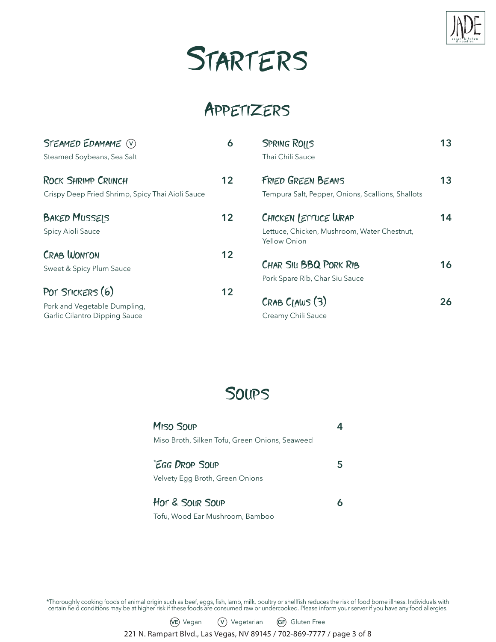

## Starters

#### Appetizers

| STEAMED EDAMAME (V)<br>Steamed Soybeans, Sea Salt                                 | 6  | <b>SPRING ROILS</b><br>Thai Chili Sauce                                                    | 13 |
|-----------------------------------------------------------------------------------|----|--------------------------------------------------------------------------------------------|----|
| <b>ROCK SHRIMP CRUNCH</b><br>Crispy Deep Fried Shrimp, Spicy Thai Aioli Sauce     | 12 | <b>FRIED GREEN BEANS</b><br>Tempura Salt, Pepper, Onions, Scallions, Shallots              | 13 |
| <b>BAKED MUSSEIS</b><br>Spicy Aioli Sauce                                         | 12 | CHICKEN LETTUCE WRAP<br>Lettuce, Chicken, Mushroom, Water Chestnut,<br><b>Yellow Onion</b> | 14 |
| <b>CRAB WONTON</b><br>Sweet & Spicy Plum Sauce                                    | 12 | CHAR SIU BBQ PORK RIB<br>Pork Spare Rib, Char Siu Sauce                                    | 16 |
| POT STICKERS (6)<br>Pork and Vegetable Dumpling,<br>Garlic Cilantro Dipping Sauce | 12 | CRABCIAWS(3)<br>Creamy Chili Sauce                                                         | 26 |

#### **SOUPS**

| MISO SOUP<br>Miso Broth, Silken Tofu, Green Onions, Seaweed |  |
|-------------------------------------------------------------|--|
| "EGG DROP SOUP<br>Velvety Egg Broth, Green Onions           |  |
| HOT & SOUR SOUP                                             |  |

Tofu, Wood Ear Mushroom, Bamboo

\*Thoroughly cooking foods of animal origin such as beef, eggs, fish, lamb, milk, poultry or shellfish reduces the risk of food borne illness. Individuals with certain held conditions may be at higher risk if these foods are consumed raw or undercooked. Please inform your server if you have any food allergies.

#### **VE** Vegan **V** Vegetarian **GF** Gluten Free

221 N. Rampart Blvd., Las Vegas, NV 89145 / 702-869-7777 / page 3 of 8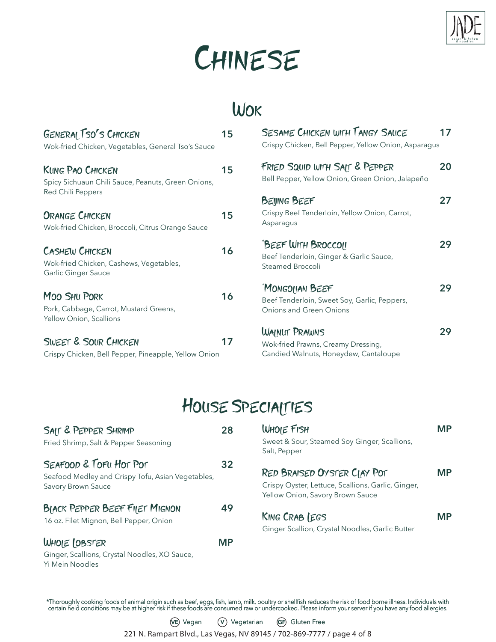

# CHINESE

# Wok

| <b>GENERAL TSO'S CHICKEN</b><br>Wok-fried Chicken, Vegetables, General Tso's Sauce             | 15 | <b>SESAME CHICKEN WITH TANGY SAUCE</b><br>Crispy Chicken, Bell Pepper, Yellow Onion, Asparagus   | 17 |
|------------------------------------------------------------------------------------------------|----|--------------------------------------------------------------------------------------------------|----|
| <b>KUNG PAO CHICKEN</b><br>Spicy Sichuaun Chili Sauce, Peanuts, Green Onions,                  | 15 | FRIED SQUID WITH SAIT & PEPPER<br>Bell Pepper, Yellow Onion, Green Onion, Jalapeño               | 20 |
| Red Chili Peppers                                                                              |    | <b>BEIJING BEEF</b>                                                                              | 27 |
| <b>ORANGE CHICKEN</b><br>Wok-fried Chicken, Broccoli, Citrus Orange Sauce                      | 15 | Crispy Beef Tenderloin, Yellow Onion, Carrot,<br>Asparagus                                       |    |
| <b>CASHEW CHICKEN</b><br>Wok-fried Chicken, Cashews, Vegetables,<br><b>Garlic Ginger Sauce</b> | 16 | "BEEF WITH BROCCOIL<br>Beef Tenderloin, Ginger & Garlic Sauce,<br>Steamed Broccoli               | 29 |
| <b>MOO SHU PORK</b><br>Pork, Cabbage, Carrot, Mustard Greens,<br>Yellow Onion, Scallions       | 16 | <b>MONGOLIAN BEEF</b><br>Beef Tenderloin, Sweet Soy, Garlic, Peppers,<br>Onions and Green Onions | 29 |
| <b>SWEET &amp; SOUR CHICKEN</b><br>Crispy Chicken, Bell Pepper, Pineapple, Yellow Onion        | 17 | WAINUT PRAWNS<br>Wok-fried Prawns, Creamy Dressing,<br>Candied Walnuts, Honeydew, Cantaloupe     | 29 |

#### House Specialties

| SAIT & PEPPER SHRIMP<br>Fried Shrimp, Salt & Pepper Seasoning                                     | 28 |
|---------------------------------------------------------------------------------------------------|----|
| SEAFOOD & TOFU HOT POT<br>Seafood Medley and Crispy Tofu, Asian Vegetables,<br>Savory Brown Sauce | 32 |
| <b>BIACK PEPPER BEEF FIIET MIGNON</b><br>16 oz. Filet Mignon, Bell Pepper, Onion                  | 49 |
| WHOIE (OBSTER<br>Ginger, Scallions, Crystal Noodles, XO Sauce,<br>Yi Mein Noodles                 | ΜP |

| 28 | WHOIE FISH<br>Sweet & Sour, Steamed Soy Ginger, Scallions,<br>Salt, Pepper                                            | МP |
|----|-----------------------------------------------------------------------------------------------------------------------|----|
| 32 | RED BRAISED OYSTER CIAY POT<br>Crispy Oyster, Lettuce, Scallions, Garlic, Ginger,<br>Yellow Onion, Savory Brown Sauce | MР |
| 49 | <b>KING CRAB LEGS</b><br>Ginger Scallion, Crystal Noodles, Garlic Butter                                              | MР |
|    |                                                                                                                       |    |

\*Thoroughly cooking foods of animal origin such as beef, eggs, fish, lamb, milk, poultry or shellfish reduces the risk of food borne illness. Individuals with certain held conditions may be at higher risk if these foods are consumed raw or undercooked. Please inform your server if you have any food allergies.

**VE** Vegan **V** Vegetarian **GF** Gluten Free

221 N. Rampart Blvd., Las Vegas, NV 89145 / 702-869-7777 / page 4 of 8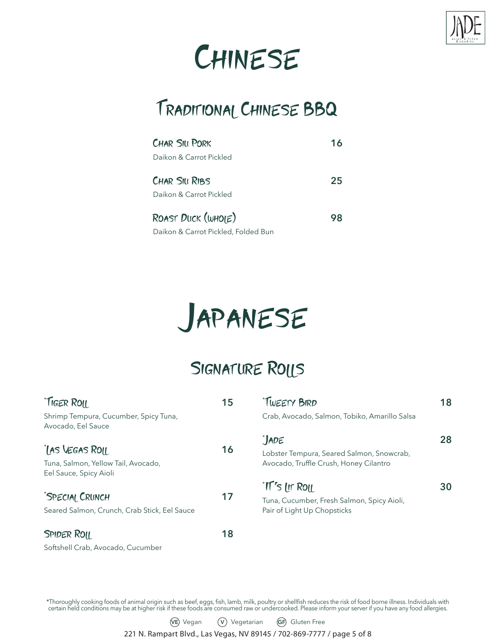

# **CHINESE**

### Traditional Chinese BBQ

| <b>CHAR SILL PORK</b>               | 16 |
|-------------------------------------|----|
| Daikon & Carrot Pickled             |    |
| CHAR SILI RIBS                      | 25 |
| Daikon & Carrot Pickled             |    |
| ROAST DUCK (WHOIE)                  | 98 |
| Daikon & Carrot Pickled, Folded Bun |    |

# Japanese

### SIGNATURE ROLLS

| <i><b>TIGER ROIL</b></i>                                                        | 15 | "TWEETY BIRD                                                                                            | 18 |
|---------------------------------------------------------------------------------|----|---------------------------------------------------------------------------------------------------------|----|
| Shrimp Tempura, Cucumber, Spicy Tuna,<br>Avocado, Eel Sauce                     |    | Crab, Avocado, Salmon, Tobiko, Amarillo Salsa                                                           |    |
| IAS VEGAS ROLL<br>Tuna, Salmon, Yellow Tail, Avocado,<br>Eel Sauce, Spicy Aioli | 16 | *JADE<br>Lobster Tempura, Seared Salmon, Snowcrab,<br>Avocado, Truffle Crush, Honey Cilantro            | 28 |
| "SPECIAL CRUNCH<br>Seared Salmon, Crunch, Crab Stick, Eel Sauce                 | 17 | <i><b>TI's In ROIL</b></i><br>Tuna, Cucumber, Fresh Salmon, Spicy Aioli,<br>Pair of Light Up Chopsticks | 30 |
| <b>SPIDER ROIL</b>                                                              | 18 |                                                                                                         |    |
| Softshell Crab, Avocado, Cucumber                                               |    |                                                                                                         |    |

\*Thoroughly cooking foods of animal origin such as beef, eggs, fish, lamb, milk, poultry or shellfish reduces the risk of food borne illness. Individuals with certain held conditions may be at higher risk if these foods are consumed raw or undercooked. Please inform your server if you have any food allergies.

**VE** Vegan **V** Vegetarian **GF** Gluten Free

221 N. Rampart Blvd., Las Vegas, NV 89145 / 702-869-7777 / page 5 of 8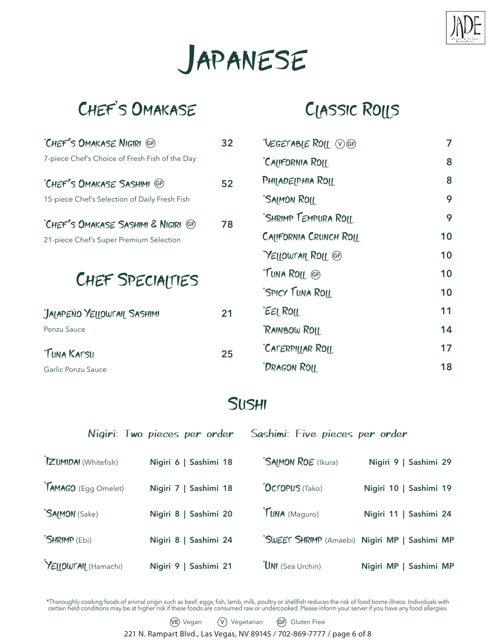



#### Chef`s Omakase

### Classic Rolls

| "CHEF'S OMAKASE NIGIRI GF                                   | 32 | "VEGETABIE ROLL WGF    | 7  |
|-------------------------------------------------------------|----|------------------------|----|
| 7-piece Chef's Choice of Fresh Fish of the Day              |    | "CALIFORNIA ROLL       | 8  |
| "CHEF'S OMAKASE SASHIMI GF                                  | 52 | PHILADELPHIA ROLL      | 8  |
| 15-piece Chef's Selection of Daily Fresh Fish               |    | <b>SAIMON ROIL</b>     | 9  |
| "CHEF'S OMAKASE SASHIMI & NIGIRI (GF)                       | 78 | "SHRIMP TEMPURA ROIL   | 9  |
| 21-piece Chef's Super Premium Selection<br>CHEF SPECIAITIES |    | CALIFORNIA CRUNCH ROLL | 10 |
|                                                             |    | "YELLOWTAIL ROLL GF    | 10 |
|                                                             |    | "TUNA ROIL GF)         | 10 |
|                                                             |    | "SPICY TUNA ROIL       | 10 |
| JAIAPEÑO YELLOWTAIL SASHIMI                                 | 21 | EEL ROIL               | 11 |
| Ponzu Sauce                                                 |    | RAINBOW ROIL           | 14 |
| "TUNA KATSU                                                 | 25 | "CATERPILLAR ROLL      | 17 |
| Garlic Ponzu Sauce                                          |    | "Dragon Roll           | 18 |

#### **SUSHI**

|                             | Nigiri: Two pieces per order | Sashimi: Five pieces per order |                                               |
|-----------------------------|------------------------------|--------------------------------|-----------------------------------------------|
| <b>IZUMIDAI</b> (Whitefish) | Nigiri 6   Sashimi 18        | <b>SAIMON ROE</b> (Ikura)      | Nigiri 9   Sashimi 29                         |
| TAMAGO (Egg Omelet)         | Nigiri 7   Sashimi 18        | <b>OCTOPUS (Tako)</b>          | Nigiri 10   Sashimi 19                        |
| "SAIMON (Sake)              | Nigiri 8   Sashimi 20        | TUNA (Maguro)                  | Nigiri 11   Sashimi 24                        |
| <b>SHRIMP</b> (Ebi)         | Nigiri 8   Sashimi 24        |                                | "SWEET SHRIMP (Amaebi) Nigiri MP   Sashimi MP |
| YEIIOWTAIL (Hamachi)        | Nigiri 9   Sashimi 21        | UNI (Sea Urchin)               | Nigiri MP   Sashimi MP                        |

\*Thoroughly cooking foods of animal origin such as beef, eggs, fish, lamb, milk, poultry or shellfish reduces the risk of food borne illness. Individuals with certain held conditions may be at higher risk if these foods are consumed raw or undercooked. Please inform your server if you have any food allergies.

#### **VE** Vegan **V** Vegetarian **GF** Gluten Free

221 N. Rampart Blvd., Las Vegas, NV 89145 / 702-869-7777 / page 6 of 8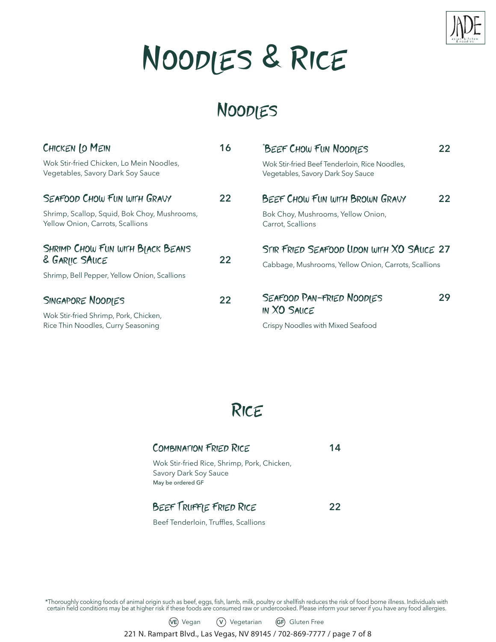

# Noodles & Rice

### Noodles

| CHICKEN LO MEIN                                                                  | 16 | "BEEF CHOW FUN NOODIES                                                                           | 22. |
|----------------------------------------------------------------------------------|----|--------------------------------------------------------------------------------------------------|-----|
| Wok Stir-fried Chicken, Lo Mein Noodles,<br>Vegetables, Savory Dark Soy Sauce    |    | Wok Stir-fried Beef Tenderloin, Rice Noodles,<br>Vegetables, Savory Dark Soy Sauce               |     |
| SEAFOOD CHOW FUN WITH GRAVY                                                      | 22 | BEEF CHOW FUN WITH BROWN GRAVY                                                                   | 22. |
| Shrimp, Scallop, Squid, Bok Choy, Mushrooms,<br>Yellow Onion, Carrots, Scallions |    | Bok Choy, Mushrooms, Yellow Onion,<br>Carrot, Scallions                                          |     |
| SHRIMP CHOW FUN WITH BIACK BEANS<br>& GARIIC SAUCE                               | 22 | STIR FRIED SEAFOOD UDON WITH XO SAUCE 27<br>Cabbage, Mushrooms, Yellow Onion, Carrots, Scallions |     |
| Shrimp, Bell Pepper, Yellow Onion, Scallions                                     |    |                                                                                                  |     |
| SINGAPORE NOODIES                                                                | 22 | SEAFOOD PAN-FRIED NOODIES                                                                        | 29  |
| Wok Stir-fried Shrimp, Pork, Chicken,                                            |    | <b>IN XO SAUCE</b>                                                                               |     |
| Rice Thin Noodles, Curry Seasoning                                               |    | Crispy Noodles with Mixed Seafood                                                                |     |



| <b>COMBINATION FRIED RICE</b>                                                             | 14 |
|-------------------------------------------------------------------------------------------|----|
| Wok Stir-fried Rice, Shrimp, Pork, Chicken,<br>Savory Dark Soy Sauce<br>May be ordered GF |    |
| BEEF TRUFFIE FRIED RICE                                                                   | 22 |
| Beef Tenderloin, Truffles, Scallions                                                      |    |

\*Thoroughly cooking foods of animal origin such as beef, eggs, fish, lamb, milk, poultry or shellfish reduces the risk of food borne illness. Individuals with certain held conditions may be at higher risk if these foods are consumed raw or undercooked. Please inform your server if you have any food allergies.

**VE** Vegan **V** Vegetarian **GF** Gluten Free

221 N. Rampart Blvd., Las Vegas, NV 89145 / 702-869-7777 / page 7 of 8